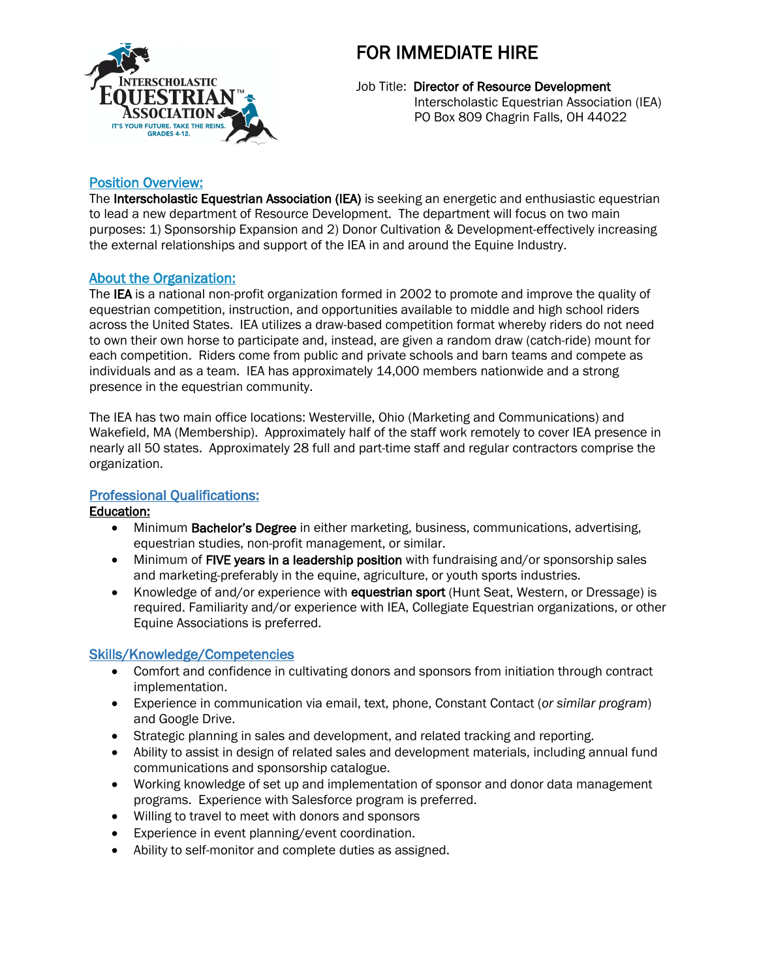

# FOR IMMEDIATE HIRE

Job Title: Director of Resource Development Interscholastic Equestrian Association (IEA) PO Box 809 Chagrin Falls, OH 44022

## Position Overview:

The Interscholastic Equestrian Association (IEA) is seeking an energetic and enthusiastic equestrian to lead a new department of Resource Development. The department will focus on two main purposes: 1) Sponsorship Expansion and 2) Donor Cultivation & Development-effectively increasing the external relationships and support of the IEA in and around the Equine Industry.

### About the Organization:

The IEA is a national non-profit organization formed in 2002 to promote and improve the quality of equestrian competition, instruction, and opportunities available to middle and high school riders across the United States. IEA utilizes a draw-based competition format whereby riders do not need to own their own horse to participate and, instead, are given a random draw (catch-ride) mount for each competition. Riders come from public and private schools and barn teams and compete as individuals and as a team. IEA has approximately 14,000 members nationwide and a strong presence in the equestrian community.

The IEA has two main office locations: Westerville, Ohio (Marketing and Communications) and Wakefield, MA (Membership). Approximately half of the staff work remotely to cover IEA presence in nearly all 50 states. Approximately 28 full and part-time staff and regular contractors comprise the organization.

## Professional Qualifications:

#### Education:

- Minimum Bachelor's Degree in either marketing, business, communications, advertising, equestrian studies, non-profit management, or similar.
- Minimum of FIVE years in a leadership position with fundraising and/or sponsorship sales and marketing-preferably in the equine, agriculture, or youth sports industries.
- Knowledge of and/or experience with equestrian sport (Hunt Seat, Western, or Dressage) is required. Familiarity and/or experience with IEA, Collegiate Equestrian organizations, or other Equine Associations is preferred.

## Skills/Knowledge/Competencies

- Comfort and confidence in cultivating donors and sponsors from initiation through contract implementation.
- Experience in communication via email, text, phone, Constant Contact (*or similar program*) and Google Drive.
- Strategic planning in sales and development, and related tracking and reporting.
- Ability to assist in design of related sales and development materials, including annual fund communications and sponsorship catalogue.
- Working knowledge of set up and implementation of sponsor and donor data management programs. Experience with Salesforce program is preferred.
- Willing to travel to meet with donors and sponsors
- Experience in event planning/event coordination.
- Ability to self-monitor and complete duties as assigned.